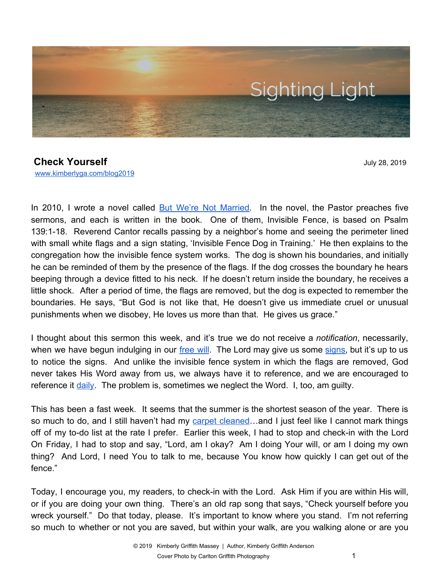

## **Check Yourself** July 28, 2019 [www.kimberlyga.com/blog2019](http://www.kimberlyga.com/blog)

In 2010, I wrote a novel called But We're Not [Married](https://www.kimberlyga.com/but-i-love-my-husband--but-were-not-married.html). In the novel, the Pastor preaches five sermons, and each is written in the book. One of them, Invisible Fence, is based on Psalm 139:1-18. Reverend Cantor recalls passing by a neighbor's home and seeing the perimeter lined with small white flags and a sign stating, 'Invisible Fence Dog in Training.' He then explains to the congregation how the invisible fence system works. The dog is shown his boundaries, and initially he can be reminded of them by the presence of the flags. If the dog crosses the boundary he hears beeping through a device fitted to his neck. If he doesn't return inside the boundary, he receives a little shock. After a period of time, the flags are removed, but the dog is expected to remember the boundaries. He says, "But God is not like that, He doesn't give us immediate cruel or unusual punishments when we disobey, He loves us more than that. He gives us grace."

I thought about this sermon this week, and it's true we do not receive a *notification*, necessarily, when we have begun indulging in our [free](https://www.kimberlyga.com/blog2019/archives/04-2019/3) will. The Lord may give us some [signs,](https://www.kimberlyga.com/blog2019/archives/01-2019) but it's up to us to notice the signs. And unlike the invisible fence system in which the flags are removed, God never takes His Word away from us, we always have it to reference, and we are encouraged to reference it *daily*. The problem is, sometimes we neglect the Word. I, too, am guilty.

This has been a fast week. It seems that the summer is the shortest season of the year. There is so much to do, and I still haven't had my carpet [cleaned](https://www.kimberlyga.com/blog2019/previous/2)…and I just feel like I cannot mark things off of my to-do list at the rate I prefer. Earlier this week, I had to stop and check-in with the Lord On Friday, I had to stop and say, "Lord, am I okay? Am I doing Your will, or am I doing my own thing? And Lord, I need You to talk to me, because You know how quickly I can get out of the fence."

Today, I encourage you, my readers, to check-in with the Lord. Ask Him if you are within His will, or if you are doing your own thing. There's an old rap song that says, "Check yourself before you wreck yourself." Do that today, please. It's important to know where you stand. I'm not referring so much to whether or not you are saved, but within your walk, are you walking alone or are you